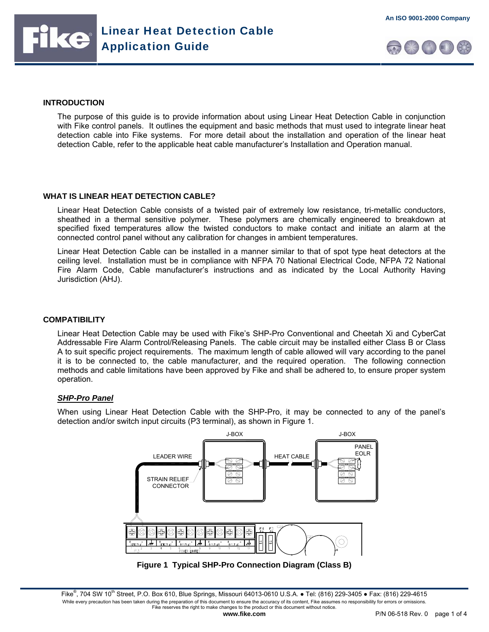





#### **INTRODUCTION**

The purpose of this guide is to provide information about using Linear Heat Detection Cable in conjunction with Fike control panels. It outlines the equipment and basic methods that must used to integrate linear heat detection cable into Fike systems. For more detail about the installation and operation of the linear heat detection Cable, refer to the applicable heat cable manufacturer's Installation and Operation manual.

## **WHAT IS LINEAR HEAT DETECTION CABLE?**

Linear Heat Detection Cable consists of a twisted pair of extremely low resistance, tri-metallic conductors, sheathed in a thermal sensitive polymer. These polymers are chemically engineered to breakdown at specified fixed temperatures allow the twisted conductors to make contact and initiate an alarm at the connected control panel without any calibration for changes in ambient temperatures.

Linear Heat Detection Cable can be installed in a manner similar to that of spot type heat detectors at the ceiling level. Installation must be in compliance with NFPA 70 National Electrical Code, NFPA 72 National Fire Alarm Code, Cable manufacturer's instructions and as indicated by the Local Authority Having Jurisdiction (AHJ).

#### **COMPATIBILITY**

Linear Heat Detection Cable may be used with Fike's SHP-Pro Conventional and Cheetah Xi and CyberCat Addressable Fire Alarm Control/Releasing Panels. The cable circuit may be installed either Class B or Class A to suit specific project requirements. The maximum length of cable allowed will vary according to the panel it is to be connected to, the cable manufacturer, and the required operation. The following connection methods and cable limitations have been approved by Fike and shall be adhered to, to ensure proper system operation.

## *SHP-Pro Panel*

When using Linear Heat Detection Cable with the SHP-Pro, it may be connected to any of the panel's detection and/or switch input circuits (P3 terminal), as shown in Figure 1.



**Figure 1 Typical SHP-Pro Connection Diagram (Class B)** 

Fike<sup>®</sup>, 704 SW 10<sup>th</sup> Street, P.O. Box 610, Blue Springs, Missouri 64013-0610 U.S.A. ● Tel: (816) 229-3405 ● Fax: (816) 229-4615 While every precaution has been taken during the preparation of this document to ensure the accuracy of its content, Fike assumes no responsibility for errors or omissions. Fike reserves the right to make changes to the product or this document without notice.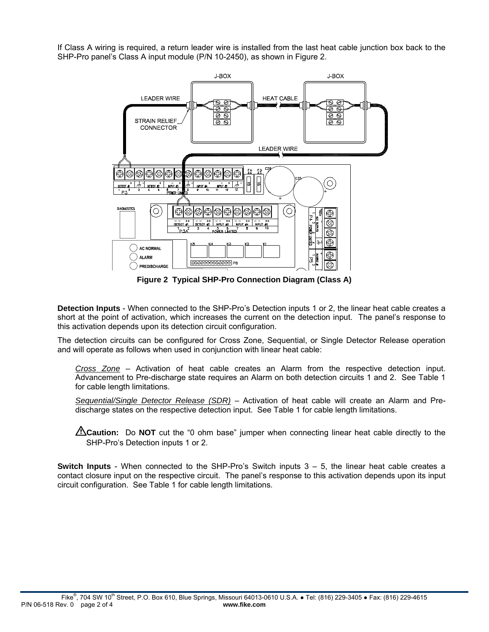If Class A wiring is required, a return leader wire is installed from the last heat cable junction box back to the SHP-Pro panel's Class A input module (P/N 10-2450), as shown in Figure 2.



**Figure 2 Typical SHP-Pro Connection Diagram (Class A)** 

**Detection Inputs** - When connected to the SHP-Pro's Detection inputs 1 or 2, the linear heat cable creates a short at the point of activation, which increases the current on the detection input. The panel's response to this activation depends upon its detection circuit configuration.

The detection circuits can be configured for Cross Zone, Sequential, or Single Detector Release operation and will operate as follows when used in conjunction with linear heat cable:

*Cross Zone* – Activation of heat cable creates an Alarm from the respective detection input. Advancement to Pre-discharge state requires an Alarm on both detection circuits 1 and 2. See Table 1 for cable length limitations.

*Sequential/Single Detector Release (SDR)* – Activation of heat cable will create an Alarm and Predischarge states on the respective detection input. See Table 1 for cable length limitations.

**i**Caution: Do NOT cut the "0 ohm base" jumper when connecting linear heat cable directly to the SHP-Pro's Detection inputs 1 or 2.

**Switch Inputs** - When connected to the SHP-Pro's Switch inputs 3 – 5, the linear heat cable creates a contact closure input on the respective circuit. The panel's response to this activation depends upon its input circuit configuration. See Table 1 for cable length limitations.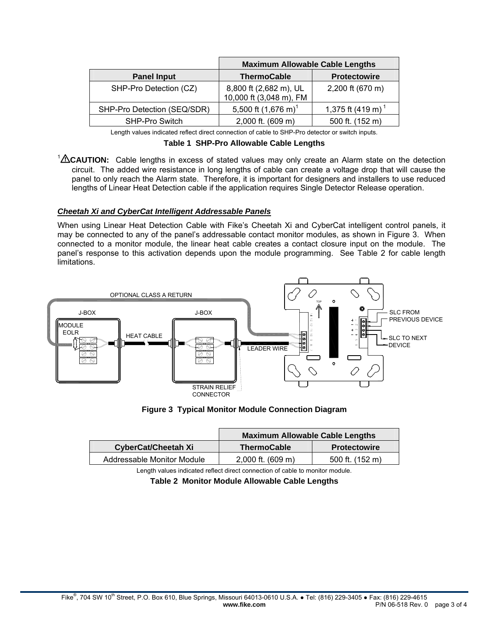|                             | <b>Maximum Allowable Cable Lengths</b>            |                               |  |
|-----------------------------|---------------------------------------------------|-------------------------------|--|
| <b>Panel Input</b>          | <b>ThermoCable</b>                                | <b>Protectowire</b>           |  |
| SHP-Pro Detection (CZ)      | 8,800 ft (2,682 m), UL<br>10,000 ft (3,048 m), FM | 2,200 ft (670 m)              |  |
| SHP-Pro Detection (SEQ/SDR) | 5,500 ft $(1,676 \text{ m})^1$                    | 1,375 ft (419 m) <sup>1</sup> |  |
| <b>SHP-Pro Switch</b>       | 2,000 ft. (609 m)                                 | 500 ft. (152 m)               |  |

Length values indicated reflect direct connection of cable to SHP-Pro detector or switch inputs.

<sup>1</sup> $\triangle$ CAUTION: Cable lengths in excess of stated values may only create an Alarm state on the detection circuit. The added wire resistance in long lengths of cable can create a voltage drop that will cause the panel to only reach the Alarm state. Therefore, it is important for designers and installers to use reduced lengths of Linear Heat Detection cable if the application requires Single Detector Release operation.

# *Cheetah Xi and CyberCat Intelligent Addressable Panels*

When using Linear Heat Detection Cable with Fike's Cheetah Xi and CyberCat intelligent control panels, it may be connected to any of the panel's addressable contact monitor modules, as shown in Figure 3. When connected to a monitor module, the linear heat cable creates a contact closure input on the module. The panel's response to this activation depends upon the module programming. See Table 2 for cable length limitations.



**Figure 3 Typical Monitor Module Connection Diagram** 

|                            | <b>Maximum Allowable Cable Lengths</b> |                     |  |
|----------------------------|----------------------------------------|---------------------|--|
| <b>CyberCat/Cheetah Xi</b> | ThermoCable                            | <b>Protectowire</b> |  |
| Addressable Monitor Module | $2,000$ ft. (609 m)                    | 500 ft. (152 m)     |  |

Length values indicated reflect direct connection of cable to monitor module.

**Table 2 Monitor Module Allowable Cable Lengths**